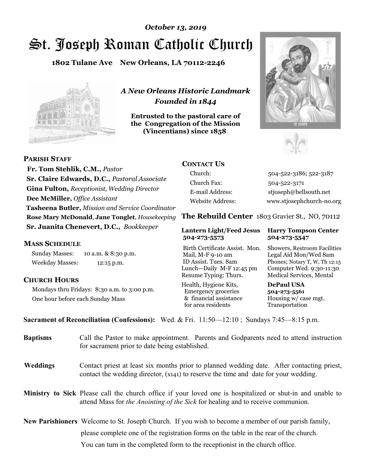# St. Joseph Roman Catholic Church *October 13, 2019*

**1802 Tulane Ave New Orleans, LA 70112-2246**



*A New Orleans Historic Landmark Founded in 1844* 

**Entrusted to the pastoral care of the Congregation of the Mission (Vincentians) since 1858**.





 **Fr. Tom Stehlik, C.M.,** *Pastor* **Sr. Claire Edwards, D.C.,** *Pastoral Associate* **Gina Fulton,** *Receptionist, Wedding Director* **Dee McMiller,** *Office Assistant* **Tasheena Butler,** *Mission and Service Coordinator* **Rose Mary McDonald**, **Jane Tonglet**, *Housekeeping* **Sr. Juanita Chenevert, D.C.,** *Bookkeeper* 

### **MASS SCHEDULE**

**PARISH STAFF**

Sunday Masses: 10 a.m. & 8:30 p.m. Weekday Masses: 12:15 p.m.

# **CHURCH HOURS**

Mondays thru Fridays: 8:30 a.m. to 3:00 p.m. One hour before each Sunday Mass

# **CONTACT US**

Church: 504-522-3186; 522-3187 Church Fax: 504-522-3171 E-mail Address: stjoseph@bellsouth.net Website Address: www.stjosephchurch-no.org

**The Rebuild Center** 1803 Gravier St., NO, 70112

#### **Lantern Light/Feed Jesus Harry Tompson Center 504-273-5573 504-273-5547**

Birth Certificate Assist. Mon. Showers, Restroom Facilities Mail, M-F 9-10 am Legal Aid Mon/Wed 8am ID Assist. Tues. 8am Phones; Notary T, W, Th 12:15 Lunch—Daily M-F 12:45 pm Computer Wed. 9:30-11:30 Resume Typing: Thurs. Medical Services, Mental

Health, Hygiene Kits, **DePaul USA**  Emergency groceries **504-273-5561** & financial assistance Housing w/ case mgt.<br>for area residents Transportation for area residents

**Sacrament of Reconciliation (Confessions):** Wed. & Fri. 11:50—12:10 ; Sundays 7:45—8:15 p.m.

| <b>Baptisms</b> | Call the Pastor to make appointment. Parents and Godparents need to attend instruction<br>for sacrament prior to date being established.                                                                   |  |
|-----------------|------------------------------------------------------------------------------------------------------------------------------------------------------------------------------------------------------------|--|
| <b>Weddings</b> | Contact priest at least six months prior to planned wedding date. After contacting priest,<br>contact the wedding director, (x141) to reserve the time and date for your wedding.                          |  |
|                 | <b>Ministry to Sick</b> Please call the church office if your loved one is hospitalized or shut-in and unable to<br>attend Mass for <i>the Anointing of the Sick</i> for healing and to receive communion. |  |
|                 | New Parishioners Welcome to St. Joseph Church. If you wish to become a member of our parish family,                                                                                                        |  |
|                 | please complete one of the registration forms on the table in the rear of the church.                                                                                                                      |  |
|                 | You can turn in the completed form to the reception is the church office.                                                                                                                                  |  |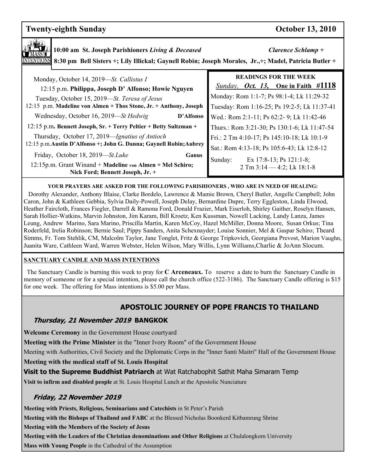# **Twenty-eighth Sunday Contract Contract Contract Contract Contract Contract Contract Contract Contract Contract Contract Contract Contract Contract Contract Contract Contract Contract Contract Contract Contract Contract Co**

| 10:00 am St. Joseph Parishioners Living & Deceased<br>8:30 pm Bell Sisters +; Lily Illickal; Gaynell Robin; Joseph Morales, Jr.,+; Madel, Patricia Butler + | Clarence Schlamp +                                                                       |
|-------------------------------------------------------------------------------------------------------------------------------------------------------------|------------------------------------------------------------------------------------------|
| Monday, October 14, 2019—St. Callistus I                                                                                                                    | <b>READINGS FOR THE WEEK</b>                                                             |
| 12:15 p.m. Philippa, Joseph D' Alfonso; Howie Nguyen                                                                                                        | <i>Sunday, Oct. 13,</i> One in Faith #1118                                               |
| Tuesday, October 15, 2019-St. Teresa of Jesus                                                                                                               | Monday: Rom 1:1-7; Ps 98:1-4; Lk 11:29-32                                                |
| 12:15 p.m. Madeline von Almen + Thos Stone, Jr. + Anthony, Joseph                                                                                           | Tuesday: Rom 1:16-25; Ps 19:2-5; Lk 11:37-41                                             |
| Wednesday, October 16, 2019—St Hedwig<br>D'Alfonso<br>12:15 p.m. Bennett Joseph, Sr. + Terry Peltier + Betty Sultzman +                                     | Wed.: Rom 2:1-11; Ps 62:2-9; Lk 11:42-46<br>Thurs.: Rom 3:21-30; Ps 130:1-6; Lk 11:47-54 |
| Thursday, October 17, 2019—Ignatius of Antioch                                                                                                              | Fri.: 2 Tm 4:10-17; Ps 145:10-18; Lk 10:1-9                                              |
| 12:15 p.m. Austin D'Alfonso +; John G. Danna; Gaynell Robin; Aubrey                                                                                         | Sat.: Rom 4:13-18; Ps 105:6-43; Lk 12:8-12                                               |
| Friday, October 18, 2019—St. Luke<br>Ganus<br>12:15p.m. Grant Winand + Madeline von Almen + Mel Schiro;<br>Nick Ford; Bennett Joseph, Jr. +                 | Sunday:<br>Ex 17:8-13; Ps 121:1-8;<br>$2$ Tm $3:14 - 4:2$ ; Lk $18:1-8$                  |

#### **YOUR PRAYERS ARE ASKED FOR THE FOLLOWING PARISHIONERS , WHO ARE IN NEED OF HEALING:**

 Dorothy Alexander, Anthony Blaise, Clarke Bordelo, Lawrence & Mamie Brown, Cheryl Butler, Angelle Campbell; John Caron, John & Kathleen Gebbia, Sylvia Daily-Powell, Joseph Delay, Bernardine Dupre, Terry Eggleston, Linda Elwood, Heather Faircloth, Frances Fiegler, Darrell & Ramona Ford, Donald Frazier, Mark Eiserloh, Shirley Gaither, Roselyn Hansen, Sarah Hollier-Watkins, Marvin Johnston, Jim Karam, Bill Kroetz, Ken Kussman, Nowell Lacking, Landy Lanza, James Leung, Andrew Marino, Sara Marino, Priscilla Martin, Karen McCoy, Hazel McMiller, Donna Moore, Susan Orkus; Tina Roderfeld, Irelia Robinson; Bernie Saul; Pippy Sanders, Anita Schexnayder; Louise Sonnier, Mel & Gaspar Schiro; Theard Simms, Fr. Tom Stehlik, CM, Malcolm Taylor, Jane Tonglet, Fritz & George Tripkovich, Georgiana Prevost, Marion Vaughn, Juanita Ware, Cathleen Ward, Warren Webster, Helen Wilson, Mary Willis, Lynn Williams,Charlie & JoAnn Slocum.

#### **SANCTUARY CANDLE AND MASS INTENTIONS**

 The Sanctuary Candle is burning this week to pray for **C Arceneaux.** To reserve a date to burn the Sanctuary Candle in memory of someone or for a special intention, please call the church office (522-3186). The Sanctuary Candle offering is \$15 for one week. The offering for Mass intentions is \$5.00 per Mass.

# **APOSTOLIC JOURNEY OF POPE FRANCIS TO THAILAND**

### **Thursday, 21 November 2019 BANGKOK**

**Welcome Ceremony** in the Government House courtyard

**Meeting with the Prime Minister** in the "Inner Ivory Room" of the Government House

Meeting with Authorities, Civil Society and the Diplomatic Corps in the "Inner Santi Maitri" Hall of the Government House

**Meeting with the medical staff of St. Louis Hospital** 

**Visit to the Supreme Buddhist Patriarch** at Wat Ratchabophit Sathit Maha Simaram Temp

**Visit to infirm and disabled people** at St. Louis Hospital Lunch at the Apostolic Nunciature

# **Friday, 22 November 2019**

**Meeting with Priests, Religious, Seminarians and Catechists** in St Peter's Parish

**Meeting with the Bishops of Thailand and FABC** at the Blessed Nicholas Boonkerd Kitbamrung Shrine

**Meeting with the Members of the Society of Jesus**

**Meeting with the Leaders of the Christian denominations and Other Religions** at Chulalongkorn University

**Mass with Young People** in the Cathedral of the Assumption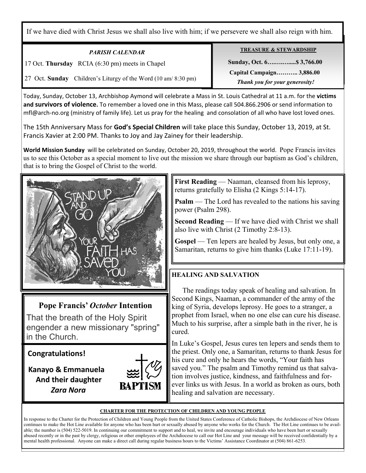If we have died with Christ Jesus we shall also live with him; if we persevere we shall also reign with him.

| <b>PARISH CALENDAR</b>                                            | <b>TREASURE &amp; STEWARDSHIP</b> |
|-------------------------------------------------------------------|-----------------------------------|
| 17 Oct. Thursday RCIA (6:30 pm) meets in Chapel                   | Sunday, Oct. 6 \$3,766.00         |
|                                                                   | Capital Campaign 3,886.00         |
| Children's Liturgy of the Word (10 am/ 8:30 pm)<br>27 Oct. Sunday | Thank you for your generosity!    |

Today, Sunday, October 13, Archbishop Aymond will celebrate a Mass in St. Louis Cathedral at 11 a.m. for the **victims and survivors of violence.** To remember a loved one in this Mass, please call 504.866.2906 or send information to mfl@arch-no.org (ministry of family life). Let us pray for the healing and consolation of all who have lost loved ones.

The 15th Anniversary Mass for **God's Special Children** will take place this Sunday, October 13, 2019, at St. Francis Xavier at 2:00 PM. Thanks to Joy and Jay Zainey for their leadership.

**World Mission Sunday** will be celebrated on Sunday, October 20, 2019, throughout the world. Pope Francis invites us to see this October as a special moment to live out the mission we share through our baptism as God's children, that is to bring the Gospel of Christ to the world.



# **Pope Francis'** *October* **Intention**

That the breath of the Holy Spirit engender a new missionary "spring" in the Church.

**Congratulations!** 

Ξ

 **Kanayo & Emmanuela And their daughter** *Zara Nora*



**First Reading** — Naaman, cleansed from his leprosy, returns gratefully to Elisha (2 Kings 5:14-17).

**Psalm** — The Lord has revealed to the nations his saving power (Psalm 298).

**Second Reading** — If we have died with Christ we shall also live with Christ (2 Timothy 2:8-13).

**Gospel** — Ten lepers are healed by Jesus, but only one, a Samaritan, returns to give him thanks (Luke 17:11-19).

# **HEALING AND SALVATION**

 The readings today speak of healing and salvation. In Second Kings, Naaman, a commander of the army of the king of Syria, develops leprosy. He goes to a stranger, a prophet from Israel, when no one else can cure his disease. Much to his surprise, after a simple bath in the river, he is cured.

In Luke's Gospel, Jesus cures ten lepers and sends them to the priest. Only one, a Samaritan, returns to thank Jesus for his cure and only he hears the words, "Your faith has saved you." The psalm and Timothy remind us that salvation involves justice, kindness, and faithfulness and forever links us with Jesus. In a world as broken as ours, both healing and salvation are necessary.

#### **CHARTER FOR THE PROTECTION OF CHILDREN AND YOUNG PEOPLE**

In response to the Charter for the Protection of Children and Young People from the United States Conference of Catholic Bishops, the Archdiocese of New Orleans continues to make the Hot Line available for anyone who has been hurt or sexually abused by anyone who works for the Church. The Hot Line continues to be available; the number is (504) 522-5019. In continuing our commitment to support and to heal, we invite and encourage individuals who have been hurt or sexually abused recently or in the past by clergy, religious or other employees of the Archdiocese to call our Hot Line and your message will be received confidentially by a mental health professional. Anyone can make a direct call during regular business hours to the Victims' Assistance Coordinator at (504) 861-6253.